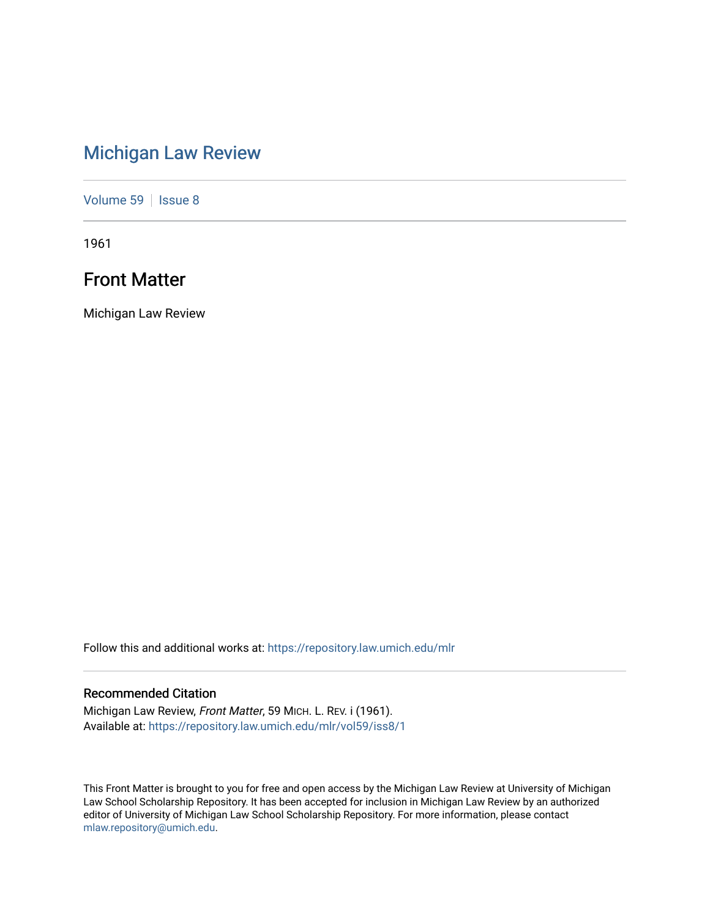### [Michigan Law Review](https://repository.law.umich.edu/mlr)

[Volume 59](https://repository.law.umich.edu/mlr/vol59) | [Issue 8](https://repository.law.umich.edu/mlr/vol59/iss8)

1961

### Front Matter

Michigan Law Review

Follow this and additional works at: [https://repository.law.umich.edu/mlr](https://repository.law.umich.edu/mlr?utm_source=repository.law.umich.edu%2Fmlr%2Fvol59%2Fiss8%2F1&utm_medium=PDF&utm_campaign=PDFCoverPages) 

#### Recommended Citation

Michigan Law Review, Front Matter, 59 MICH. L. REV. i (1961). Available at: [https://repository.law.umich.edu/mlr/vol59/iss8/1](https://repository.law.umich.edu/mlr/vol59/iss8/1?utm_source=repository.law.umich.edu%2Fmlr%2Fvol59%2Fiss8%2F1&utm_medium=PDF&utm_campaign=PDFCoverPages)

This Front Matter is brought to you for free and open access by the Michigan Law Review at University of Michigan Law School Scholarship Repository. It has been accepted for inclusion in Michigan Law Review by an authorized editor of University of Michigan Law School Scholarship Repository. For more information, please contact [mlaw.repository@umich.edu.](mailto:mlaw.repository@umich.edu)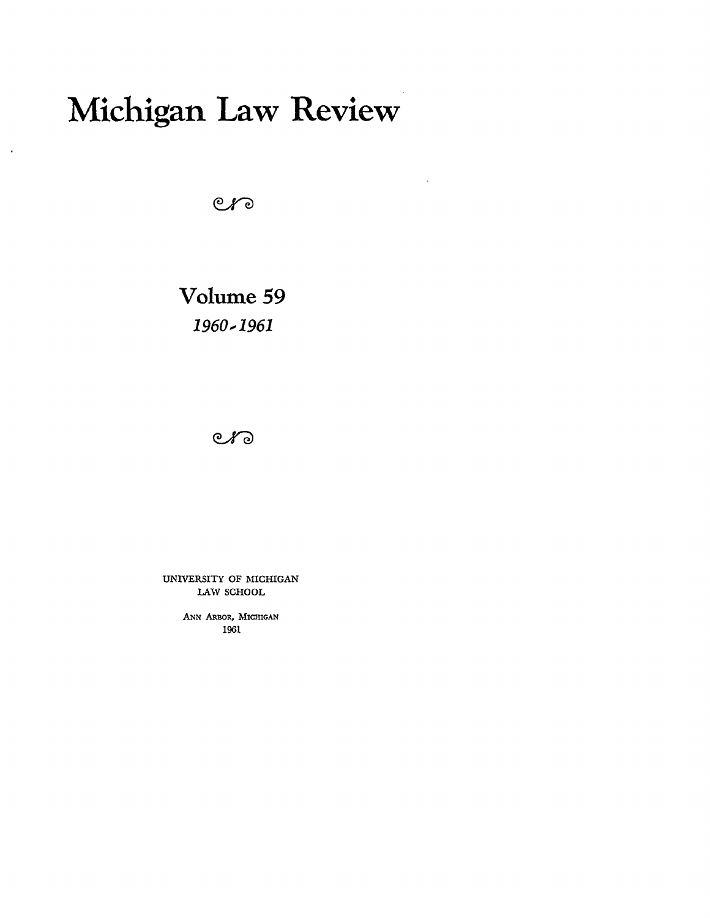# **Michigan Law Review**

J.

 $er$ 

**Volume 59 1960 ... 1961** 

 $C*$ 

UNIVERSITY OF MICHIGAN LAW SCHOOL

> ANN ARBOR, MICHIGAN 1961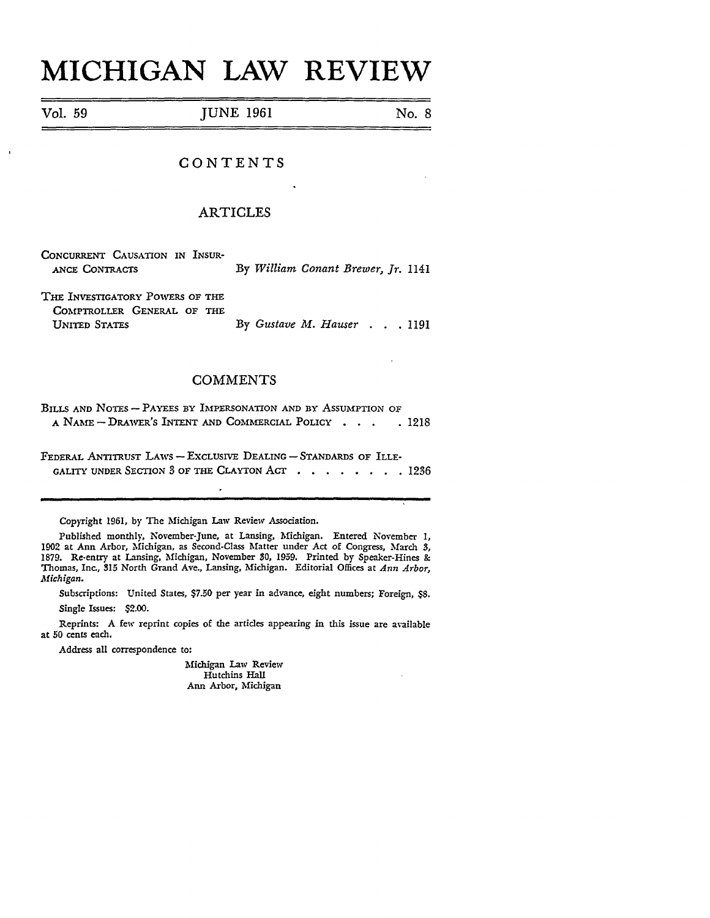## **MICHIGAN LAW REVIEW**

| Vol. 59 | <b>JUNE 1961</b> | No. 8 |  |
|---------|------------------|-------|--|
|         |                  |       |  |

#### CONTENTS

#### ARTICLES

| CONCURRENT CAUSATION IN INSUR- |  |  |                                    |  |  |
|--------------------------------|--|--|------------------------------------|--|--|
| ANCE CONTRACTS                 |  |  | By William Conant Brewer, Jr. 1141 |  |  |
|                                |  |  |                                    |  |  |

THE INVESTIGATORY POWERS OF THE COMPTROLLER GENERAL OF THE UNITED STATES By *Gustave M. Hauser* . . 1191

#### COMMENTS

 $\epsilon$ 

BILLS AND NOTES-PAYEES BY IMPERSONATION AND BY ASSUMPTION OF A NAME - DRAWER'S INTENT AND COMMERCIAL POLICY . . . . 1218

FEDERAL ANTITRUST LAWS-EXCLUSIVE DEALING-STANDARDS OF ILLE-GALITY UNDER SECTION 3 OF THE CLAYTON ACT . . . . . . 1236

Copyright 1961, by The Michigan Law Review Association.

Published monthly, November-June, at Lansing, Michigan. Entered November 1, 1902 at Ann Arbor, Michigan, as Second-Class Matter under Act of Congress, March 3, 1879. Re-entry at Lansing, Michigan, November 30, 1959. Printed by Speaker-Hines &: Thomas, Inc., 315 North Grand Ave., Lansing, Michigan. Editorial Offices at *Ann Arbor, Michigan.* 

Subscriptions: United States, \$7.50 per year in advance, eight numbers; Foreign, \$8. Single Issues: \$2.00.

Reprints: A few reprint copies of the articles appearing in this issue are available at 50 cents each.

Address all correspondence to:

Michigan Law Review Hutchins Hall Ann Arbor, Michigan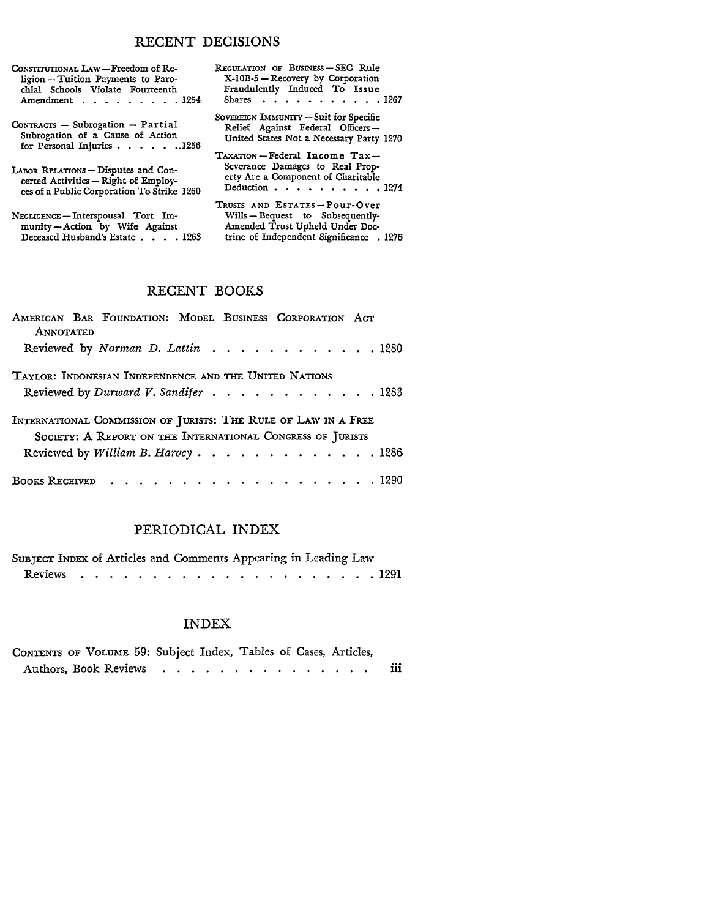#### RECENT DECISIONS

|                                    | CONSTITUTIONAL LAW—Freedom of Re- |  |  |  |  |  |  |  |  |  |
|------------------------------------|-----------------------------------|--|--|--|--|--|--|--|--|--|
| ligion - Tuition Payments to Paro- |                                   |  |  |  |  |  |  |  |  |  |
|                                    | chial Schools Violate Fourteenth  |  |  |  |  |  |  |  |  |  |
|                                    | Amendment 1254                    |  |  |  |  |  |  |  |  |  |

CoNTRAcrs - Subrogation - Partial Subrogation of a Cause of Action for Personal Injuries  $\cdots$   $\cdots$  .  $\cdots$  . 1256

- LABOR RELATIONS Disputes and Concerted Activities - Right of Employees of a Public Corporation To Strike 1260
- NEGLIGENCE-Interspousal Tort Im· munity-Action by Wife Against<br>Deceased Husband's Estate . . . . 1263

REGULATION OF BUSINESS - SEC Rule X-lOB-5 - Recovery by Corporation Fraudulently Induced To Issue Shares . . . . . . . . . . 1267

SOVEREIGN IMMUNITY  $-$  Suit for Specific Relief Against Federal Officers-United States Not a Necessary Party 1270

TAXATION-Federal Income Tax-<br>Severance Damages to Real Property Are a Component of Charitable Deduction . . . . . . . . . . 1274

TRUSTS AND ESTATES-Pour-Over Wills - Bequest to Subsequently-Amended Trust Upheld Under Doctrine of Independent Significance • 1276

#### RECENT BOOKS

| AMERICAN BAR FOUNDATION: MODEL BUSINESS CORPORATION ACT        |
|----------------------------------------------------------------|
| ANNOTATED                                                      |
| Reviewed by Norman D. Lattin 1280                              |
| TAYLOR: INDONESIAN INDEPENDENCE AND THE UNITED NATIONS         |
| Reviewed by Durward V. Sandifer 1283                           |
| INTERNATIONAL COMMISSION OF JURISTS: THE RULE OF LAW IN A FREE |
| SOCIETY: A REPORT ON THE INTERNATIONAL CONGRESS OF JURISTS     |
| Reviewed by William B. Harvey 1286                             |
| BOOKS RECEIVED 1290                                            |

#### PERIODICAL INDEX

| SUBJECT INDEX of Articles and Comments Appearing in Leading Law |  |  |  |  |  |  |  |  |  |  |  |
|-----------------------------------------------------------------|--|--|--|--|--|--|--|--|--|--|--|
|                                                                 |  |  |  |  |  |  |  |  |  |  |  |

#### INDEX

| CONTENTS OF VOLUME 59: Subject Index, Tables of Cases, Articles, |                       |  |  |  |   |  |  |  |     |
|------------------------------------------------------------------|-----------------------|--|--|--|---|--|--|--|-----|
|                                                                  | Authors, Book Reviews |  |  |  | . |  |  |  | 111 |